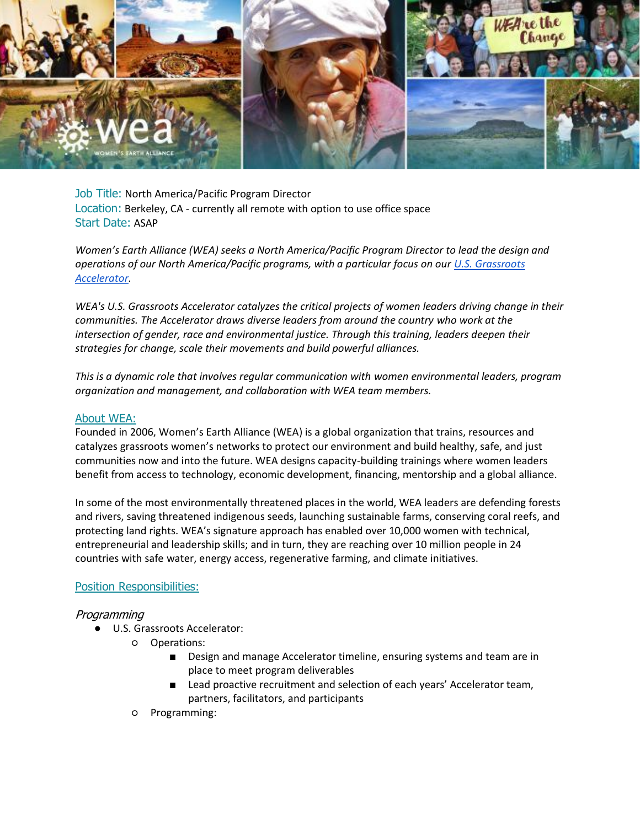

Job Title: North America/Pacific Program Director Location: Berkeley, CA - currently all remote with option to use office space Start Date: ASAP

*Women's Earth Alliance (WEA) seeks a North America/Pacific Program Director to lead the design and operations of our North America/Pacific programs, with a particular focus on our [U.S. Grassroots](https://womensearthalliance.org/programs/u-s-grassroots-accelerator-for-women-environmental-leaders/)  [Accelerator.](https://womensearthalliance.org/programs/u-s-grassroots-accelerator-for-women-environmental-leaders/)* 

*WEA's U.S. Grassroots Accelerator catalyzes the critical projects of women leaders driving change in their communities. The Accelerator draws diverse leaders from around the country who work at the intersection of gender, race and environmental justice. Through this training, leaders deepen their strategies for change, scale their movements and build powerful alliances.* 

*This is a dynamic role that involves regular communication with women environmental leaders, program organization and management, and collaboration with WEA team members.* 

### About WEA:

Founded in 2006, Women's Earth Alliance (WEA) is a global organization that trains, resources and catalyzes grassroots women's networks to protect our environment and build healthy, safe, and just communities now and into the future. WEA designs capacity-building trainings where women leaders benefit from access to technology, economic development, financing, mentorship and a global alliance.

In some of the most environmentally threatened places in the world, WEA leaders are defending forests and rivers, saving threatened indigenous seeds, launching sustainable farms, conserving coral reefs, and protecting land rights. WEA's signature approach has enabled over 10,000 women with technical, entrepreneurial and leadership skills; and in turn, they are reaching over 10 million people in 24 countries with safe water, energy access, regenerative farming, and climate initiatives.

### Position Responsibilities:

### Programming

- U.S. Grassroots Accelerator:
	- Operations:
		- Design and manage Accelerator timeline, ensuring systems and team are in place to meet program deliverables
		- Lead proactive recruitment and selection of each years' Accelerator team, partners, facilitators, and participants
	- Programming: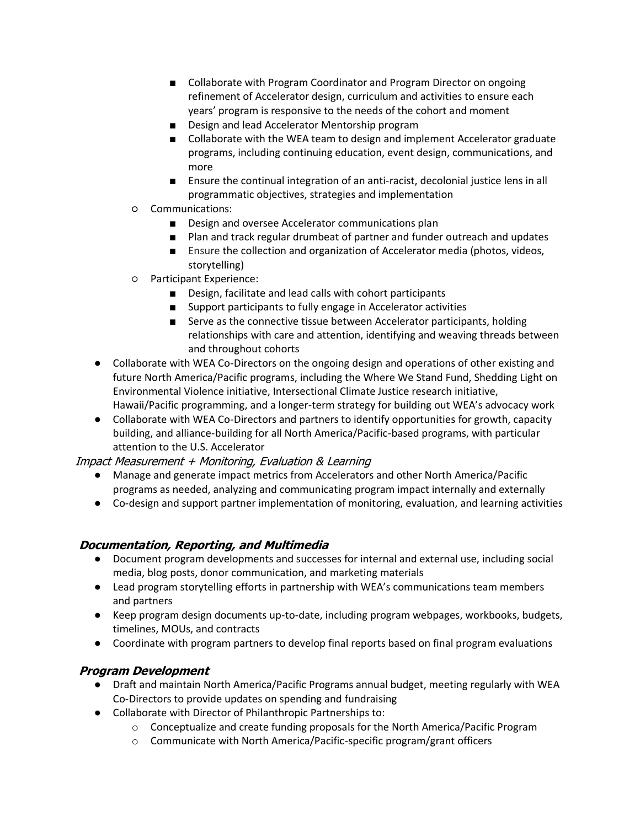- Collaborate with Program Coordinator and Program Director on ongoing refinement of Accelerator design, curriculum and activities to ensure each years' program is responsive to the needs of the cohort and moment
- Design and lead Accelerator Mentorship program
- Collaborate with the WEA team to design and implement Accelerator graduate programs, including continuing education, event design, communications, and more
- Ensure the continual integration of an anti-racist, decolonial justice lens in all programmatic objectives, strategies and implementation
- Communications:
	- Design and oversee Accelerator communications plan
	- Plan and track regular drumbeat of partner and funder outreach and updates
	- Ensure the collection and organization of Accelerator media (photos, videos, storytelling)
- Participant Experience:
	- Design, facilitate and lead calls with cohort participants
	- Support participants to fully engage in Accelerator activities
	- Serve as the connective tissue between Accelerator participants, holding relationships with care and attention, identifying and weaving threads between and throughout cohorts
- Collaborate with WEA Co-Directors on the ongoing design and operations of other existing and future North America/Pacific programs, including the Where We Stand Fund, Shedding Light on Environmental Violence initiative, Intersectional Climate Justice research initiative, Hawaii/Pacific programming, and a longer-term strategy for building out WEA's advocacy work
- Collaborate with WEA Co-Directors and partners to identify opportunities for growth, capacity building, and alliance-building for all North America/Pacific-based programs, with particular attention to the U.S. Accelerator

## Impact Measurement + Monitoring, Evaluation & Learning

- Manage and generate impact metrics from Accelerators and other North America/Pacific programs as needed, analyzing and communicating program impact internally and externally
- Co-design and support partner implementation of monitoring, evaluation, and learning activities

# **Documentation, Reporting, and Multimedia**

- Document program developments and successes for internal and external use, including social media, blog posts, donor communication, and marketing materials
- Lead program storytelling efforts in partnership with WEA's communications team members and partners
- Keep program design documents up-to-date, including program webpages, workbooks, budgets, timelines, MOUs, and contracts
- Coordinate with program partners to develop final reports based on final program evaluations

# **Program Development**

- Draft and maintain North America/Pacific Programs annual budget, meeting regularly with WEA Co-Directors to provide updates on spending and fundraising
- Collaborate with Director of Philanthropic Partnerships to:
	- $\circ$  Conceptualize and create funding proposals for the North America/Pacific Program
	- o Communicate with North America/Pacific-specific program/grant officers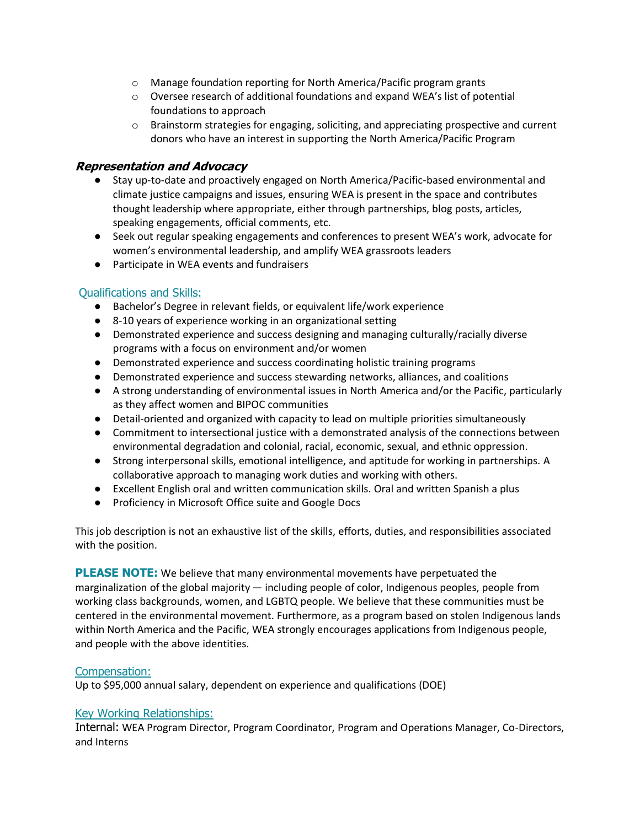- $\circ$  Manage foundation reporting for North America/Pacific program grants
- o Oversee research of additional foundations and expand WEA's list of potential foundations to approach
- o Brainstorm strategies for engaging, soliciting, and appreciating prospective and current donors who have an interest in supporting the North America/Pacific Program

# **Representation and Advocacy**

- Stay up-to-date and proactively engaged on North America/Pacific-based environmental and climate justice campaigns and issues, ensuring WEA is present in the space and contributes thought leadership where appropriate, either through partnerships, blog posts, articles, speaking engagements, official comments, etc.
- Seek out regular speaking engagements and conferences to present WEA's work, advocate for women's environmental leadership, and amplify WEA grassroots leaders
- Participate in WEA events and fundraisers

## Qualifications and Skills:

- Bachelor's Degree in relevant fields, or equivalent life/work experience
- 8-10 years of experience working in an organizational setting
- Demonstrated experience and success designing and managing culturally/racially diverse programs with a focus on environment and/or women
- Demonstrated experience and success coordinating holistic training programs
- Demonstrated experience and success stewarding networks, alliances, and coalitions
- A strong understanding of environmental issues in North America and/or the Pacific, particularly as they affect women and BIPOC communities
- Detail-oriented and organized with capacity to lead on multiple priorities simultaneously
- Commitment to intersectional justice with a demonstrated analysis of the connections between environmental degradation and colonial, racial, economic, sexual, and ethnic oppression.
- Strong interpersonal skills, emotional intelligence, and aptitude for working in partnerships. A collaborative approach to managing work duties and working with others.
- Excellent English oral and written communication skills. Oral and written Spanish a plus
- Proficiency in Microsoft Office suite and Google Docs

This job description is not an exhaustive list of the skills, efforts, duties, and responsibilities associated with the position.

**PLEASE NOTE:** We believe that many environmental movements have perpetuated the marginalization of the global majority — including people of color, Indigenous peoples, people from working class backgrounds, women, and LGBTQ people. We believe that these communities must be centered in the environmental movement. Furthermore, as a program based on stolen Indigenous lands within North America and the Pacific, WEA strongly encourages applications from Indigenous people, and people with the above identities.

## Compensation:

Up to \$95,000 annual salary, dependent on experience and qualifications (DOE)

## Key Working Relationships:

Internal: WEA Program Director, Program Coordinator, Program and Operations Manager, Co-Directors, and Interns